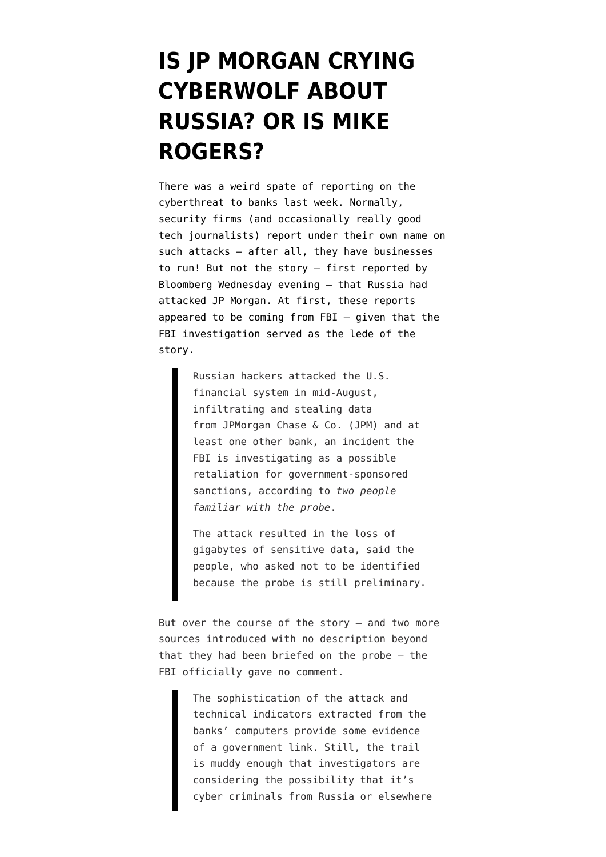## **[IS JP MORGAN CRYING](https://www.emptywheel.net/2014/08/31/is-jp-morgan-crying-cyberwolf-about-russia-or-is-mike-rogers/) [CYBERWOLF ABOUT](https://www.emptywheel.net/2014/08/31/is-jp-morgan-crying-cyberwolf-about-russia-or-is-mike-rogers/) [RUSSIA? OR IS MIKE](https://www.emptywheel.net/2014/08/31/is-jp-morgan-crying-cyberwolf-about-russia-or-is-mike-rogers/) [ROGERS?](https://www.emptywheel.net/2014/08/31/is-jp-morgan-crying-cyberwolf-about-russia-or-is-mike-rogers/)**

There was a weird spate of reporting on the cyberthreat to banks last week. Normally, security firms (and occasionally really good tech journalists) report under their own name on such attacks — after all, they have businesses to run! But not the story — [first reported by](http://www.bloomberg.com/news/2014-08-27/fbi-said-to-be-probing-whether-russia-tied-to-jpmorgan-hacking.html) [Bloomberg](http://www.bloomberg.com/news/2014-08-27/fbi-said-to-be-probing-whether-russia-tied-to-jpmorgan-hacking.html) Wednesday evening — that Russia had attacked JP Morgan. At first, these reports appeared to be coming from FBI — given that the FBI investigation served as the lede of the story.

> Russian hackers attacked the U.S. financial system in mid-August, infiltrating and stealing data from JPMorgan Chase & Co. (JPM) and at least one other bank, an incident the FBI is investigating as a possible retaliation for government-sponsored sanctions, according to *two people familiar with the probe*.

The attack resulted in the loss of gigabytes of sensitive data, said the people, who asked not to be identified because the probe is still preliminary.

But over the course of the story  $-$  and two more sources introduced with no description beyond that they had been briefed on the probe — the FBI officially gave no comment.

> The sophistication of the attack and technical indicators extracted from the banks' computers provide some evidence of a government link. Still, the trail is muddy enough that investigators are considering the possibility that it's cyber criminals from Russia or elsewhere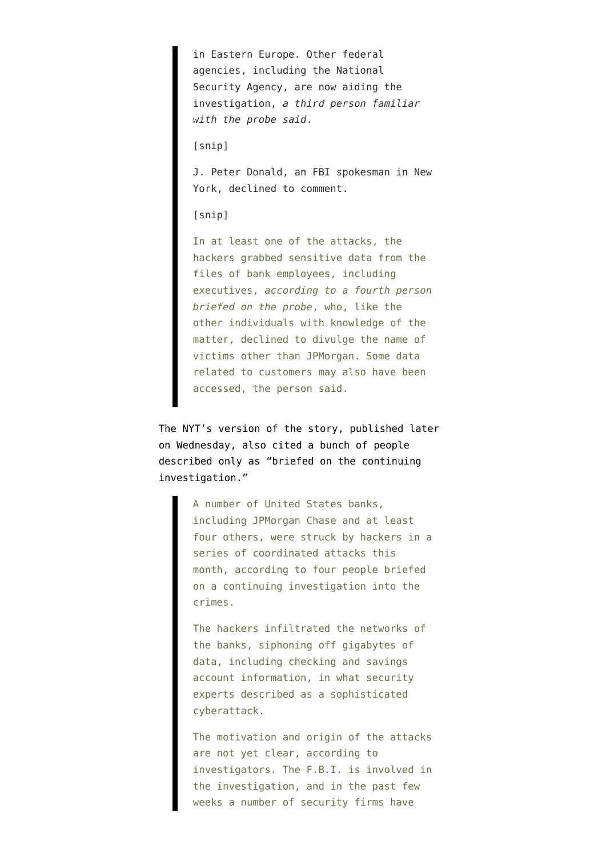in Eastern Europe. Other federal agencies, including the National Security Agency, are now aiding the investigation, *a third person familiar with the probe said*.

[snip]

J. Peter Donald, an FBI spokesman in New York, declined to comment.

[snip]

In at least one of the attacks, the hackers grabbed sensitive data from the files of bank employees, including executives, *according to a fourth person briefed on the probe*, who, like the other individuals with knowledge of the matter, declined to divulge the name of victims other than JPMorgan. Some data related to customers may also have been accessed, the person said.

The [NYT's version of the story,](http://www.nytimes.com/2014/08/28/technology/hackers-target-banks-including-jpmorgan.html?_r=0) published later on Wednesday, also cited a bunch of people described only as "briefed on the continuing investigation."

> A number of United States banks, including JPMorgan Chase and at least four others, were struck by hackers in a series of coordinated attacks this month, according to four people briefed on a continuing investigation into the crimes.

The hackers infiltrated the networks of the banks, siphoning off gigabytes of data, including checking and savings account information, in what security experts described as a sophisticated cyberattack.

The motivation and origin of the attacks are not yet clear, according to investigators. The F.B.I. is involved in the investigation, and in the past few weeks a number of security firms have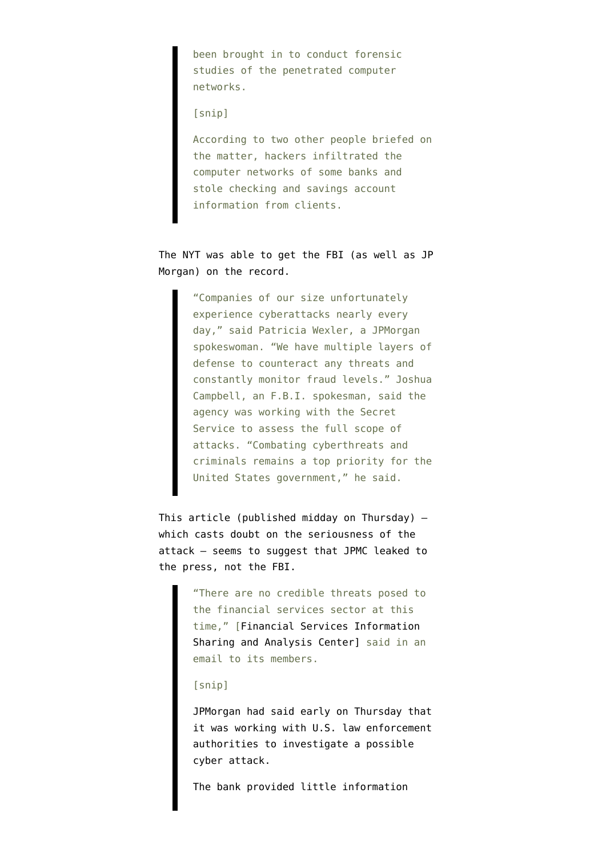been brought in to conduct forensic studies of the penetrated computer networks.

[snip]

According to two other people briefed on the matter, hackers infiltrated the computer networks of some banks and stole checking and savings account information from clients.

The NYT was able to get the FBI (as well as JP Morgan) on the record.

> "Companies of our size unfortunately experience cyberattacks nearly every day," said Patricia Wexler, a JPMorgan spokeswoman. "We have multiple layers of defense to counteract any threats and constantly monitor fraud levels." Joshua Campbell, an F.B.I. spokesman, said the agency was working with the Secret Service to assess the full scope of attacks. "Combating cyberthreats and criminals remains a top priority for the United States government," he said.

This [article](http://www.reuters.com/article/2014/08/29/us-jpmorgan-cybersecurity-idUSKBN0GS1CO20140829) (published midday on Thursday) which casts doubt on the seriousness of the attack — seems to suggest that JPMC leaked to the press, not the FBI.

> "There are no credible threats posed to the financial services sector at this time," [Financial Services Information Sharing and Analysis Center] said in an email to its members.

[snip]

JPMorgan had said early on Thursday that it was working with U.S. law enforcement authorities to investigate a possible cyber attack.

The bank provided little information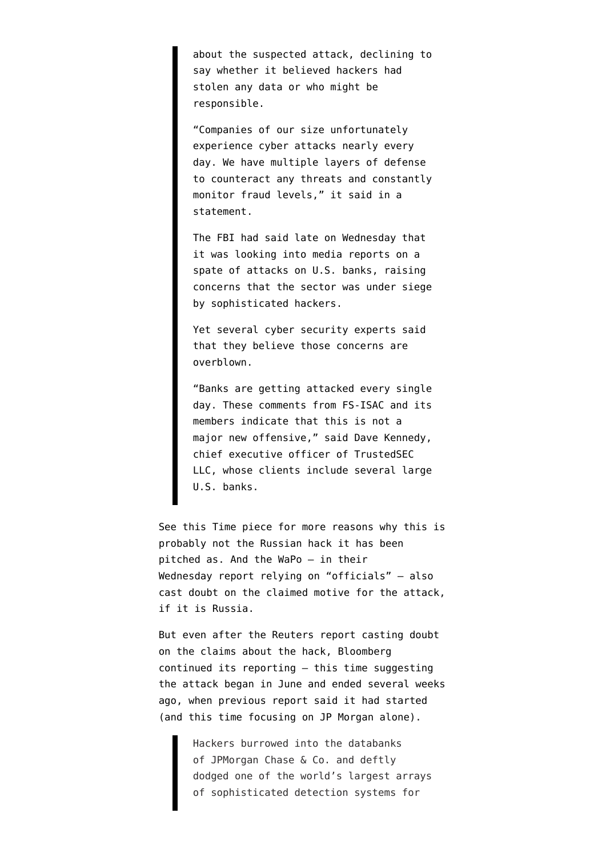about the suspected attack, declining to say whether it believed hackers had stolen any data or who might be responsible.

"Companies of our size unfortunately experience cyber attacks nearly every day. We have multiple layers of defense to counteract any threats and constantly monitor fraud levels," it said in a statement.

The FBI had said late on Wednesday that it was looking into media reports on a spate of attacks on U.S. banks, raising concerns that the sector was under siege by sophisticated hackers.

Yet several cyber security experts said that they believe those concerns are overblown.

"Banks are getting attacked every single day. These comments from FS-ISAC and its members indicate that this is not a major new offensive," said Dave Kennedy, chief executive officer of TrustedSEC LLC, whose clients include several large U.S. banks.

See [this Time piece](http://time.com/3212086/hacker-attacks-on-us-banks/) for more reasons why this is probably not the Russian hack it has been pitched as. And the WaPo — in their Wednesday report relying on "officials" — also cast doubt on the claimed motive for the attack, if it is Russia.

But even after the Reuters report casting doubt on the claims about the hack, Bloomberg [continued its reporting](http://www.bloomberg.com/news/2014-08-29/jpmorgan-hack-said-to-span-months-via-multiple-flaws.html) — this time suggesting the attack began in June and ended several weeks ago, when previous report said it had started (and this time focusing on JP Morgan alone).

> Hackers burrowed into the databanks of JPMorgan Chase & Co. and deftly dodged one of the world's largest arrays of sophisticated detection systems for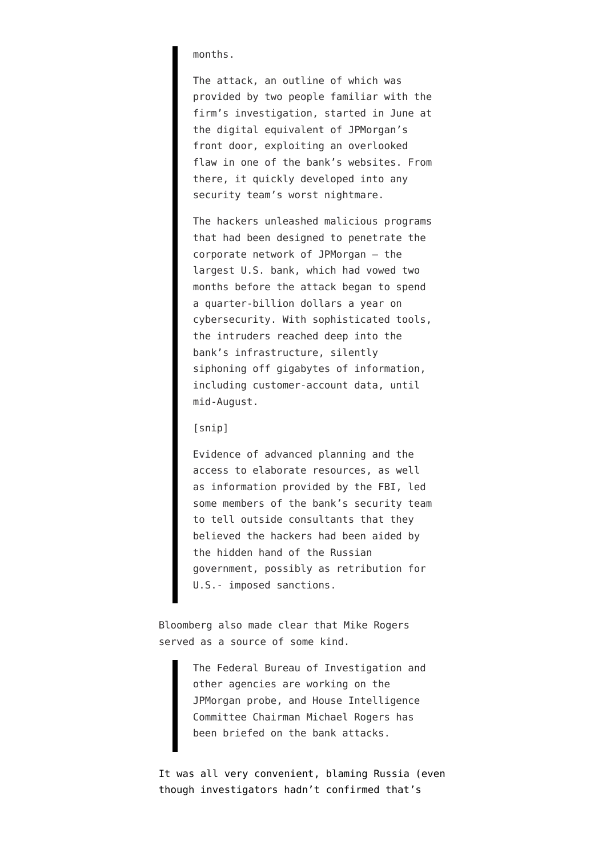months.

The attack, an outline of which was provided by two people familiar with the firm's investigation, started in June at the digital equivalent of JPMorgan's front door, exploiting an overlooked flaw in one of the bank's websites. From there, it quickly developed into any security team's worst nightmare.

The hackers unleashed malicious programs that had been designed to penetrate the corporate network of JPMorgan — the largest U.S. bank, which had vowed two months before the attack began to spend a quarter-billion dollars a year on cybersecurity. With sophisticated tools, the intruders reached deep into the bank's infrastructure, silently siphoning off gigabytes of information, including customer-account data, until mid-August.

## [snip]

Evidence of advanced planning and the access to elaborate resources, as well as information provided by the FBI, led some members of the bank's security team to tell outside consultants that they believed the hackers had been aided by the hidden hand of the Russian government, possibly as retribution for U.S.- imposed sanctions.

Bloomberg also made clear that Mike Rogers served as a source of some kind.

> The Federal Bureau of Investigation and other agencies are working on the JPMorgan probe, and House Intelligence Committee Chairman Michael Rogers has been briefed on the bank attacks.

It was all very convenient, blaming Russia (even though investigators hadn't confirmed that's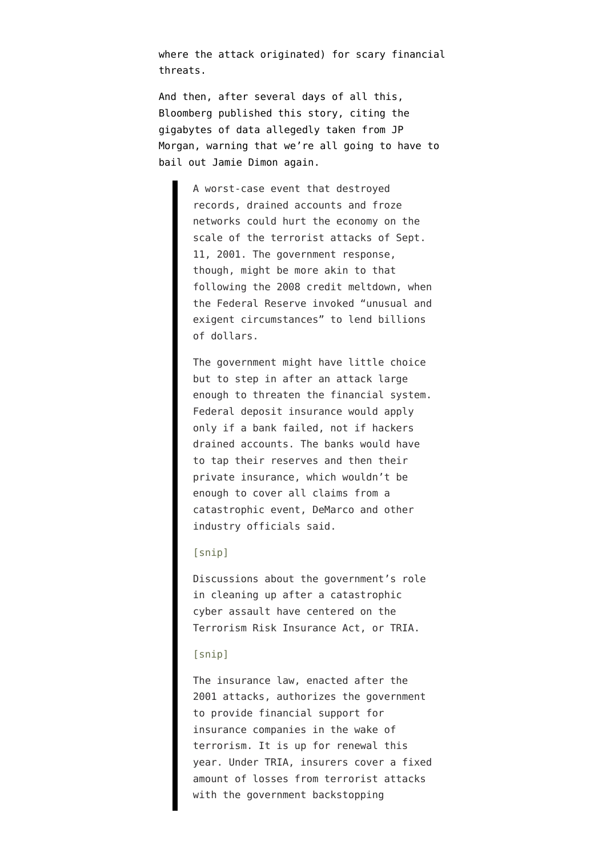where the attack originated) for scary financial threats.

And then, after several days of all this, Bloomberg [published this story,](http://www.bloomberg.com/news/2014-08-29/next-u-s-bank-bailout-could-come-after-a-cyber-terror-attack.html) citing the gigabytes of data allegedly taken from JP Morgan, warning that we're all going to have to bail out Jamie Dimon again.

> A worst-case event that destroyed records, drained accounts and froze networks could hurt the economy on the scale of the terrorist attacks of Sept. 11, 2001. The government response, though, might be more akin to that following the 2008 credit meltdown, when the Federal Reserve invoked "unusual and exigent circumstances" to lend billions of dollars.

> The government might have little choice but to step in after an attack large enough to threaten the financial system. Federal deposit insurance would apply only if a bank failed, not if hackers drained accounts. The banks would have to tap their reserves and then their private insurance, which wouldn't be enough to cover all claims from a catastrophic event, DeMarco and other industry officials said.

## [snip]

Discussions about the government's role in cleaning up after a catastrophic cyber assault have centered on the Terrorism Risk Insurance Act, or TRIA.

## [snip]

The insurance law, enacted after the 2001 attacks, authorizes the government to provide financial support for insurance companies in the wake of terrorism. It is up for renewal this year. Under TRIA, insurers cover a fixed amount of losses from terrorist attacks with the government backstopping